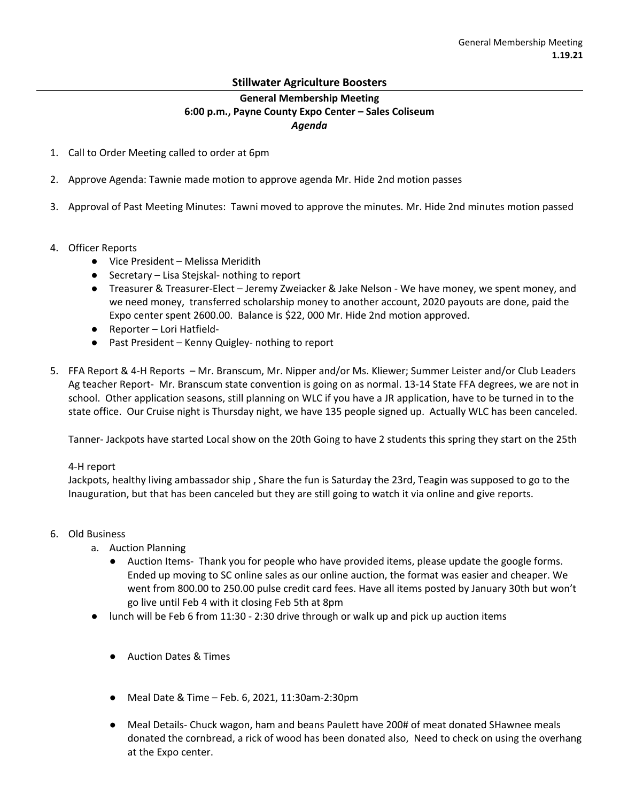## **Stillwater Agriculture Boosters**

## **General Membership Meeting 6:00 p.m., Payne County Expo Center – Sales Coliseum** *Agenda*

- 1. Call to Order Meeting called to order at 6pm
- 2. Approve Agenda: Tawnie made motion to approve agenda Mr. Hide 2nd motion passes
- 3. Approval of Past Meeting Minutes: Tawni moved to approve the minutes. Mr. Hide 2nd minutes motion passed
- 4. Officer Reports
	- Vice President Melissa Meridith
	- Secretary Lisa Stejskal- nothing to report
	- Treasurer & Treasurer-Elect Jeremy Zweiacker & Jake Nelson We have money, we spent money, and we need money, transferred scholarship money to another account, 2020 payouts are done, paid the Expo center spent 2600.00. Balance is \$22, 000 Mr. Hide 2nd motion approved.
	- Reporter Lori Hatfield-
	- Past President Kenny Quigley- nothing to report
- 5. FFA Report & 4-H Reports Mr. Branscum, Mr. Nipper and/or Ms. Kliewer; Summer Leister and/or Club Leaders Ag teacher Report- Mr. Branscum state convention is going on as normal. 13-14 State FFA degrees, we are not in school. Other application seasons, still planning on WLC if you have a JR application, have to be turned in to the state office. Our Cruise night is Thursday night, we have 135 people signed up. Actually WLC has been canceled.

Tanner- Jackpots have started Local show on the 20th Going to have 2 students this spring they start on the 25th

## 4-H report

Jackpots, healthy living ambassador ship , Share the fun is Saturday the 23rd, Teagin was supposed to go to the Inauguration, but that has been canceled but they are still going to watch it via online and give reports.

- 6. Old Business
	- a. Auction Planning
		- Auction Items- Thank you for people who have provided items, please update the google forms. Ended up moving to SC online sales as our online auction, the format was easier and cheaper. We went from 800.00 to 250.00 pulse credit card fees. Have all items posted by January 30th but won't go live until Feb 4 with it closing Feb 5th at 8pm
	- lunch will be Feb 6 from 11:30 2:30 drive through or walk up and pick up auction items
		- Auction Dates & Times
		- Meal Date & Time Feb. 6, 2021, 11:30am-2:30pm
		- Meal Details- Chuck wagon, ham and beans Paulett have 200# of meat donated SHawnee meals donated the cornbread, a rick of wood has been donated also, Need to check on using the overhang at the Expo center.